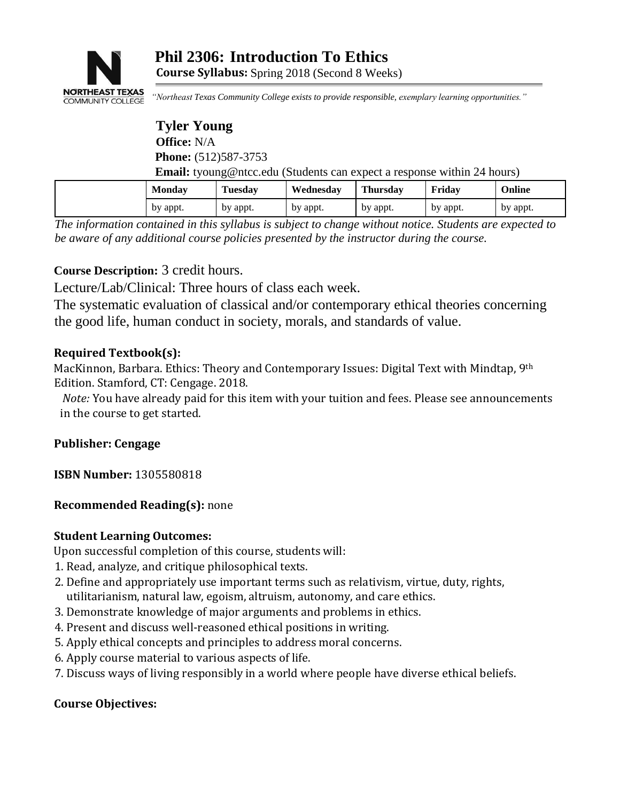

**Course Syllabus:** Spring 2018 (Second 8 Weeks)

*"Northeast Texas Community College exists to provide responsible, exemplary learning opportunities."*

# **Tyler Young Office:** N/A **Phone:** (512)587-3753 **Email: tyoung@ntcc.edu** (Students can expect a response within 24 hours)

| <b>Monday</b> | $\mathbf{r}$<br>Tuesday | Wednesdav | <b>Thursday</b> | Friday   | Online   |
|---------------|-------------------------|-----------|-----------------|----------|----------|
| by appt.      | by appt.                | by appt.  | by appt.        | by appt. | by appt. |

*The information contained in this syllabus is subject to change without notice. Students are expected to be aware of any additional course policies presented by the instructor during the course.* 

# **Course Description:** 3 credit hours.

Lecture/Lab/Clinical: Three hours of class each week.

The systematic evaluation of classical and/or contemporary ethical theories concerning the good life, human conduct in society, morals, and standards of value.

### **Required Textbook(s):**

MacKinnon, Barbara. Ethics: Theory and Contemporary Issues: Digital Text with Mindtap, 9th Edition. Stamford, CT: Cengage. 2018.

*Note:* You have already paid for this item with your tuition and fees. Please see announcements in the course to get started.

# **Publisher: Cengage**

**ISBN Number:** 1305580818

# **Recommended Reading(s):** none

### **Student Learning Outcomes:**

Upon successful completion of this course, students will:

- 1. Read, analyze, and critique philosophical texts.
- 2. Define and appropriately use important terms such as relativism, virtue, duty, rights, utilitarianism, natural law, egoism, altruism, autonomy, and care ethics.
- 3. Demonstrate knowledge of major arguments and problems in ethics.
- 4. Present and discuss well-reasoned ethical positions in writing.
- 5. Apply ethical concepts and principles to address moral concerns.
- 6. Apply course material to various aspects of life.
- 7. Discuss ways of living responsibly in a world where people have diverse ethical beliefs.

# **Course Objectives:**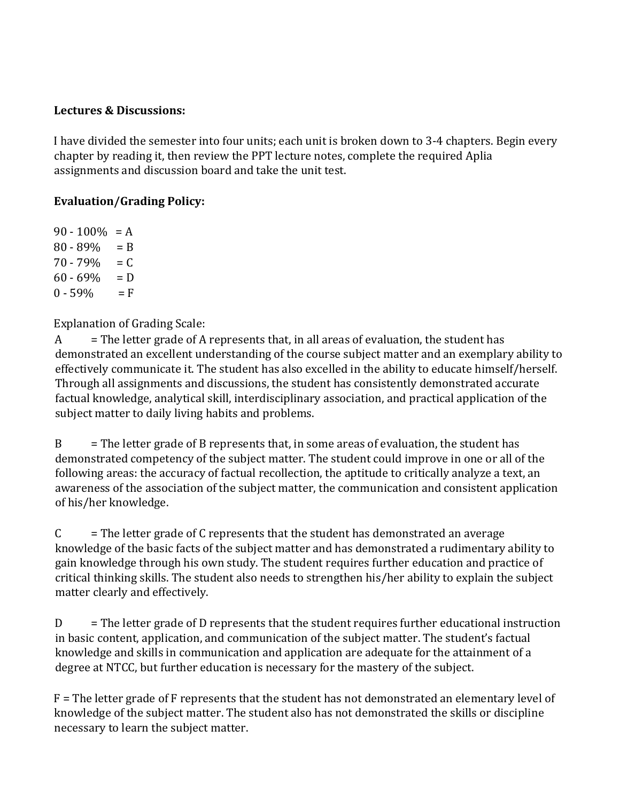### **Lectures & Discussions:**

I have divided the semester into four units; each unit is broken down to 3-4 chapters. Begin every chapter by reading it, then review the PPT lecture notes, complete the required Aplia assignments and discussion board and take the unit test.

# **Evaluation/Grading Policy:**

 $90 - 100\% = A$  $80 - 89\% = B$  $70 - 79\% = C$  $60 - 69\% = D$  $0 - 59\% = F$ 

Explanation of Grading Scale:

 $A =$ The letter grade of A represents that, in all areas of evaluation, the student has demonstrated an excellent understanding of the course subject matter and an exemplary ability to effectively communicate it. The student has also excelled in the ability to educate himself/herself. Through all assignments and discussions, the student has consistently demonstrated accurate factual knowledge, analytical skill, interdisciplinary association, and practical application of the subject matter to daily living habits and problems.

 $B =$  The letter grade of B represents that, in some areas of evaluation, the student has demonstrated competency of the subject matter. The student could improve in one or all of the following areas: the accuracy of factual recollection, the aptitude to critically analyze a text, an awareness of the association of the subject matter, the communication and consistent application of his/her knowledge.

 $C =$  The letter grade of C represents that the student has demonstrated an average knowledge of the basic facts of the subject matter and has demonstrated a rudimentary ability to gain knowledge through his own study. The student requires further education and practice of critical thinking skills. The student also needs to strengthen his/her ability to explain the subject matter clearly and effectively.

 $D =$  The letter grade of D represents that the student requires further educational instruction in basic content, application, and communication of the subject matter. The student's factual knowledge and skills in communication and application are adequate for the attainment of a degree at NTCC, but further education is necessary for the mastery of the subject.

F = The letter grade of F represents that the student has not demonstrated an elementary level of knowledge of the subject matter. The student also has not demonstrated the skills or discipline necessary to learn the subject matter.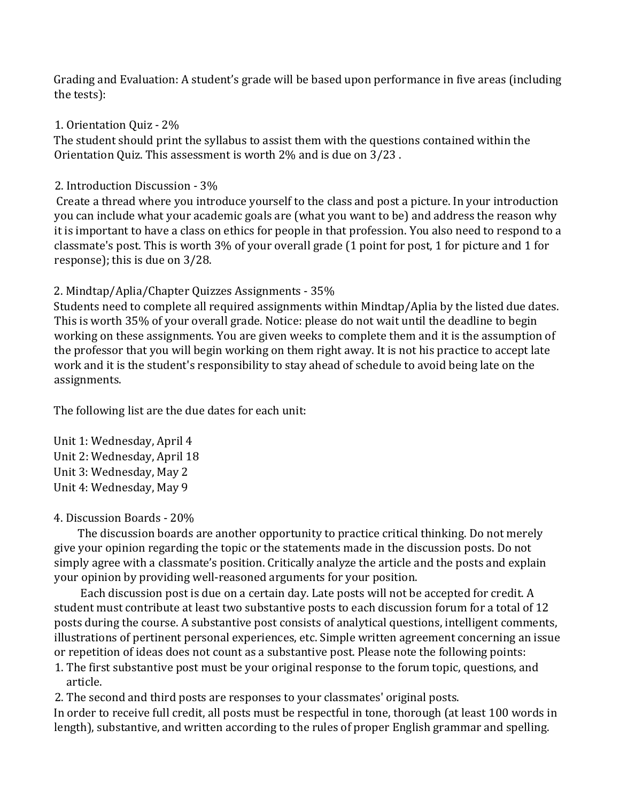Grading and Evaluation: A student's grade will be based upon performance in five areas (including the tests):

### 1. Orientation Quiz - 2%

The student should print the syllabus to assist them with the questions contained within the Orientation Quiz. This assessment is worth 2% and is due on 3/23 .

### 2. Introduction Discussion - 3%

Create a thread where you introduce yourself to the class and post a picture. In your introduction you can include what your academic goals are (what you want to be) and address the reason why it is important to have a class on ethics for people in that profession. You also need to respond to a classmate's post. This is worth 3% of your overall grade (1 point for post, 1 for picture and 1 for response); this is due on 3/28.

# 2. Mindtap/Aplia/Chapter Quizzes Assignments - 35%

Students need to complete all required assignments within Mindtap/Aplia by the listed due dates. This is worth 35% of your overall grade. Notice: please do not wait until the deadline to begin working on these assignments. You are given weeks to complete them and it is the assumption of the professor that you will begin working on them right away. It is not his practice to accept late work and it is the student's responsibility to stay ahead of schedule to avoid being late on the assignments.

The following list are the due dates for each unit:

Unit 1: Wednesday, April 4 Unit 2: Wednesday, April 18 Unit 3: Wednesday, May 2 Unit 4: Wednesday, May 9

# 4. Discussion Boards - 20%

 The discussion boards are another opportunity to practice critical thinking. Do not merely give your opinion regarding the topic or the statements made in the discussion posts. Do not simply agree with a classmate's position. Critically analyze the article and the posts and explain your opinion by providing well-reasoned arguments for your position.

 Each discussion post is due on a certain day. Late posts will not be accepted for credit. A student must contribute at least two substantive posts to each discussion forum for a total of 12 posts during the course. A substantive post consists of analytical questions, intelligent comments, illustrations of pertinent personal experiences, etc. Simple written agreement concerning an issue or repetition of ideas does not count as a substantive post. Please note the following points:

- 1. The first substantive post must be your original response to the forum topic, questions, and article.
- 2. The second and third posts are responses to your classmates' original posts.

In order to receive full credit, all posts must be respectful in tone, thorough (at least 100 words in length), substantive, and written according to the rules of proper English grammar and spelling.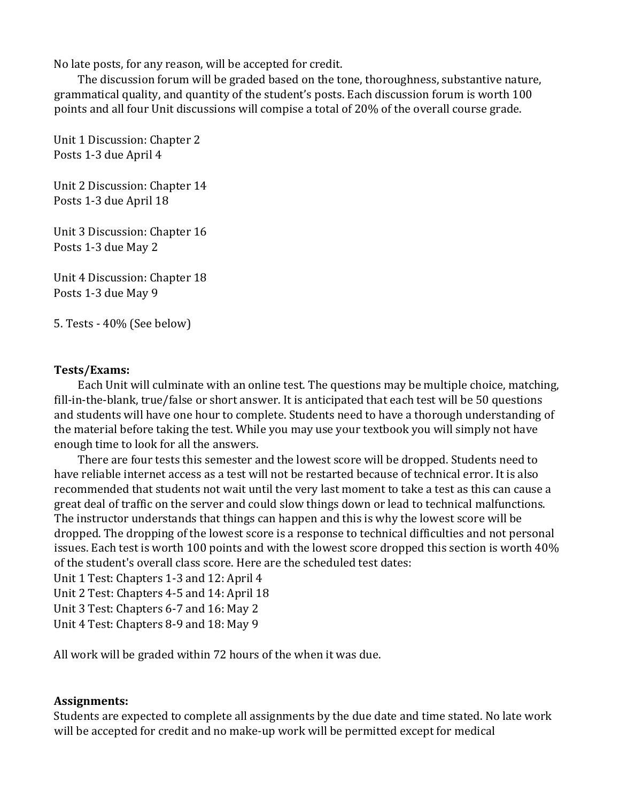No late posts, for any reason, will be accepted for credit.

 The discussion forum will be graded based on the tone, thoroughness, substantive nature, grammatical quality, and quantity of the student's posts. Each discussion forum is worth 100 points and all four Unit discussions will compise a total of 20% of the overall course grade.

Unit 1 Discussion: Chapter 2 Posts 1-3 due April 4

Unit 2 Discussion: Chapter 14 Posts 1-3 due April 18

Unit 3 Discussion: Chapter 16 Posts 1-3 due May 2

Unit 4 Discussion: Chapter 18 Posts 1-3 due May 9

5. Tests - 40% (See below)

#### **Tests/Exams:**

 Each Unit will culminate with an online test. The questions may be multiple choice, matching, fill-in-the-blank, true/false or short answer. It is anticipated that each test will be 50 questions and students will have one hour to complete. Students need to have a thorough understanding of the material before taking the test. While you may use your textbook you will simply not have enough time to look for all the answers.

 There are four tests this semester and the lowest score will be dropped. Students need to have reliable internet access as a test will not be restarted because of technical error. It is also recommended that students not wait until the very last moment to take a test as this can cause a great deal of traffic on the server and could slow things down or lead to technical malfunctions. The instructor understands that things can happen and this is why the lowest score will be dropped. The dropping of the lowest score is a response to technical difficulties and not personal issues. Each test is worth 100 points and with the lowest score dropped this section is worth 40% of the student's overall class score. Here are the scheduled test dates:

Unit 1 Test: Chapters 1-3 and 12: April 4

Unit 2 Test: Chapters 4-5 and 14: April 18

Unit 3 Test: Chapters 6-7 and 16: May 2

Unit 4 Test: Chapters 8-9 and 18: May 9

All work will be graded within 72 hours of the when it was due.

### **Assignments:**

Students are expected to complete all assignments by the due date and time stated. No late work will be accepted for credit and no make-up work will be permitted except for medical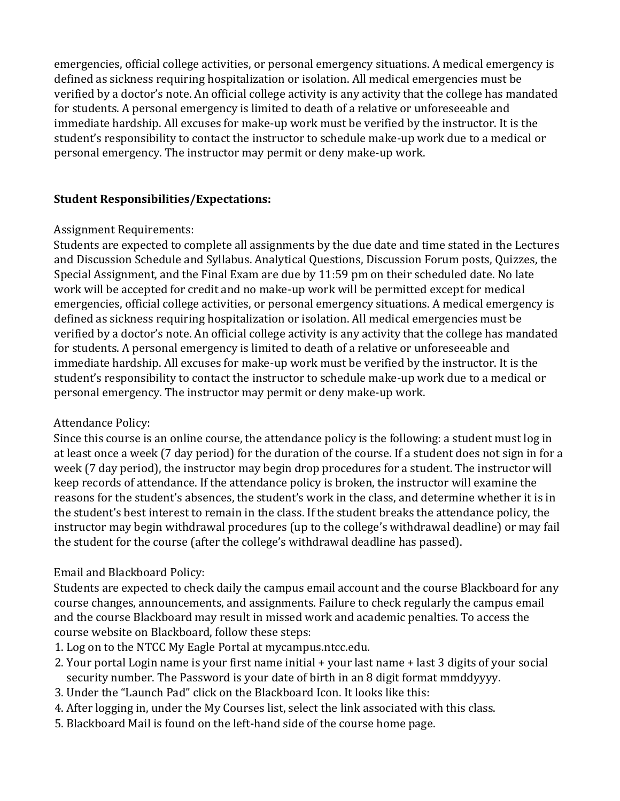emergencies, official college activities, or personal emergency situations. A medical emergency is defined as sickness requiring hospitalization or isolation. All medical emergencies must be verified by a doctor's note. An official college activity is any activity that the college has mandated for students. A personal emergency is limited to death of a relative or unforeseeable and immediate hardship. All excuses for make-up work must be verified by the instructor. It is the student's responsibility to contact the instructor to schedule make-up work due to a medical or personal emergency. The instructor may permit or deny make-up work.

### **Student Responsibilities/Expectations:**

### Assignment Requirements:

Students are expected to complete all assignments by the due date and time stated in the Lectures and Discussion Schedule and Syllabus. Analytical Questions, Discussion Forum posts, Quizzes, the Special Assignment, and the Final Exam are due by 11:59 pm on their scheduled date. No late work will be accepted for credit and no make-up work will be permitted except for medical emergencies, official college activities, or personal emergency situations. A medical emergency is defined as sickness requiring hospitalization or isolation. All medical emergencies must be verified by a doctor's note. An official college activity is any activity that the college has mandated for students. A personal emergency is limited to death of a relative or unforeseeable and immediate hardship. All excuses for make-up work must be verified by the instructor. It is the student's responsibility to contact the instructor to schedule make-up work due to a medical or personal emergency. The instructor may permit or deny make-up work.

# Attendance Policy:

Since this course is an online course, the attendance policy is the following: a student must log in at least once a week (7 day period) for the duration of the course. If a student does not sign in for a week (7 day period), the instructor may begin drop procedures for a student. The instructor will keep records of attendance. If the attendance policy is broken, the instructor will examine the reasons for the student's absences, the student's work in the class, and determine whether it is in the student's best interest to remain in the class. If the student breaks the attendance policy, the instructor may begin withdrawal procedures (up to the college's withdrawal deadline) or may fail the student for the course (after the college's withdrawal deadline has passed).

# Email and Blackboard Policy:

Students are expected to check daily the campus email account and the course Blackboard for any course changes, announcements, and assignments. Failure to check regularly the campus email and the course Blackboard may result in missed work and academic penalties. To access the course website on Blackboard, follow these steps:

- 1. Log on to the NTCC My Eagle Portal at mycampus.ntcc.edu.
- 2. Your portal Login name is your first name initial + your last name + last 3 digits of your social security number. The Password is your date of birth in an 8 digit format mmddyyyy.
- 3. Under the "Launch Pad" click on the Blackboard Icon. It looks like this:
- 4. After logging in, under the My Courses list, select the link associated with this class.
- 5. Blackboard Mail is found on the left-hand side of the course home page.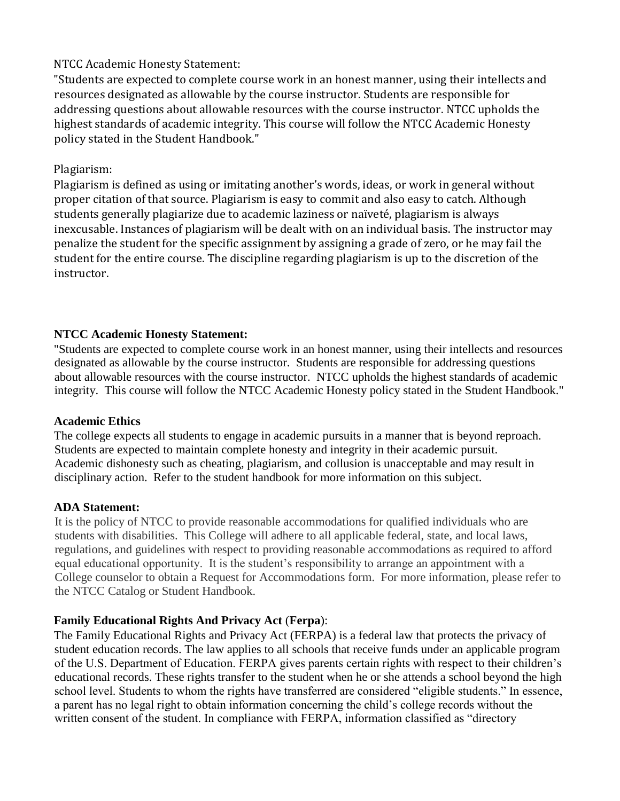# NTCC Academic Honesty Statement:

"Students are expected to complete course work in an honest manner, using their intellects and resources designated as allowable by the course instructor. Students are responsible for addressing questions about allowable resources with the course instructor. NTCC upholds the highest standards of academic integrity. This course will follow the NTCC Academic Honesty policy stated in the Student Handbook."

### Plagiarism:

Plagiarism is defined as using or imitating another's words, ideas, or work in general without proper citation of that source. Plagiarism is easy to commit and also easy to catch. Although students generally plagiarize due to academic laziness or naïveté, plagiarism is always inexcusable. Instances of plagiarism will be dealt with on an individual basis. The instructor may penalize the student for the specific assignment by assigning a grade of zero, or he may fail the student for the entire course. The discipline regarding plagiarism is up to the discretion of the instructor.

### **NTCC Academic Honesty Statement:**

"Students are expected to complete course work in an honest manner, using their intellects and resources designated as allowable by the course instructor. Students are responsible for addressing questions about allowable resources with the course instructor. NTCC upholds the highest standards of academic integrity. This course will follow the NTCC Academic Honesty policy stated in the Student Handbook."

### **Academic Ethics**

The college expects all students to engage in academic pursuits in a manner that is beyond reproach. Students are expected to maintain complete honesty and integrity in their academic pursuit. Academic dishonesty such as cheating, plagiarism, and collusion is unacceptable and may result in disciplinary action. Refer to the student handbook for more information on this subject.

### **ADA Statement:**

It is the policy of NTCC to provide reasonable accommodations for qualified individuals who are students with disabilities. This College will adhere to all applicable federal, state, and local laws, regulations, and guidelines with respect to providing reasonable accommodations as required to afford equal educational opportunity. It is the student's responsibility to arrange an appointment with a College counselor to obtain a Request for Accommodations form. For more information, please refer to the NTCC Catalog or Student Handbook.

### **Family Educational Rights And Privacy Act** (**Ferpa**):

The Family Educational Rights and Privacy Act (FERPA) is a federal law that protects the privacy of student education records. The law applies to all schools that receive funds under an applicable program of the U.S. Department of Education. FERPA gives parents certain rights with respect to their children's educational records. These rights transfer to the student when he or she attends a school beyond the high school level. Students to whom the rights have transferred are considered "eligible students." In essence, a parent has no legal right to obtain information concerning the child's college records without the written consent of the student. In compliance with FERPA, information classified as "directory